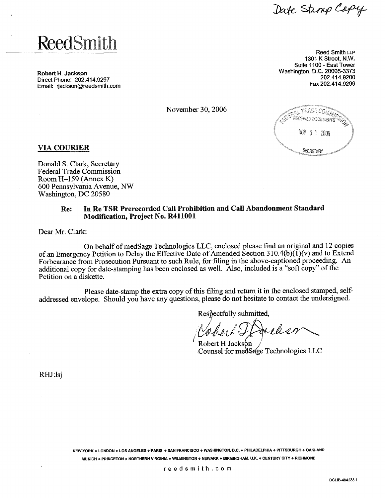Date Stamp Copy

# **ReedSmith**

**Robert** H. **Jackson**  Direct Phone: 202.414.9297 Email: rjackson@reedsmith.com

Reed Smith LLP 1301 K Street, N.W. Suite 1100 - East Tower Washington, D.C. 20005-3373 202.414.9200 Fax 202.414.9299

November 30,2006



## **VIA COURIER**

Donald S. Clark, Secretary Federal Trade Commission Room H-159 (Annex K) 600 Pennsylvania Avenue, NW Washington, DC 20580

# **Re: In Re TSR Prerecorded Call Prohibition and Call Abandonment Standard Modification, Project No. R411001**

Dear Mr. Clark:

On behalf of medSage Technologies LLC, enclosed please find an original and 12 copies of an Emergency Petition to Delay the Effective Date of Amended Section 310.4(b)( $\tilde{I}$ )(v) and to Extend Forbearance from Prosecution Pursuant to such Rule, for filing in the above-captioned proceeding. An additional copy for date-stamping has been enclosed as well. Also, included is a "soft copy" of the Petition on a diskette.

Please date-stamp the extra copy of this filing and return it in the enclosed stamped, selfaddressed envelope. Should you have any questions, please do not hesitate to contact the undersigned.

Respectfully submitted,

r han Robert H Jackson

Counsel for med Sage Technologies LLC

RHJ:lsj

**NEW YORK** \* **LONDON** \* **LOS ANGELES 4 PARIS** + **SAN FRANCISCO 4 WASHINGTON, D.C. e PHILADELPHIA** \* **PIlTSBURGH** \* **OAKLAND MUNICH** \* **PRINCETON e NORTHERN VIRGINIA** \* **WlLMlNGTON** \* **NEWARK** \* **BIRMINGHAM, U.K. 4 CENTURY CITY** \* **RICHMOND**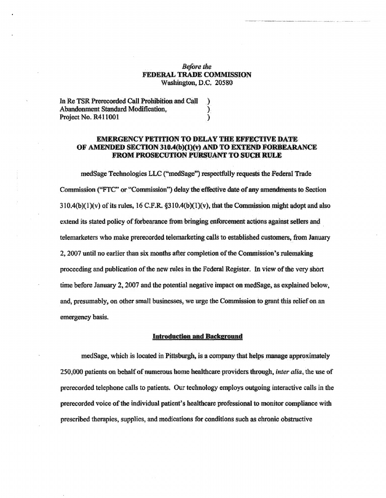### **Before the FEDERAL TRADE COMMISSION** Washington, D.C. 20580

| In Re TSR Prerecorded Call Prohibition and Call |  |
|-------------------------------------------------|--|
| Abandonment Standard Modification.              |  |
| Project No. R411001                             |  |

### **EMERGENCY PETITION TO DELAY THE EFFECTIVE DATE.** OF AMENDED SECTION 310.4(b)(1)(v) AND TO EXTEND FORBEARANCE **FROM PROSECUTION PURSUANT TO SUCH RULE**

medSage Technologies LLC ("medSage") respectfully requests the Federal Trade Commission ("FTC" or "Commission") delay the effective date of any amendments to Section 310.4(b)(1)(y) of its rules, 16 C.F.R. §310.4(b)(1)(y), that the Commission might adopt and also extend its stated policy of forbearance from bringing enforcement actions against sellers and telemarketers who make prerecorded telemarketing calls to established customers, from January 2, 2007 until no earlier than six months after completion of the Commission's rulemaking proceeding and publication of the new rules in the Federal Register. In view of the very short time before January 2, 2007 and the potential negative impact on medSage, as explained below, and, presumably, on other small businesses, we urge the Commission to grant this relief on an emergency basis.

#### **Introduction and Background**

medSage, which is located in Pittsburgh, is a company that helps manage approximately 250,000 patients on behalf of numerous home healthcare providers through, *inter alia*, the use of prerecorded telephone calls to patients. Our technology employs outgoing interactive calls in the prerecorded voice of the individual patient's healthcare professional to monitor compliance with prescribed therapies, supplies, and medications for conditions such as chronic obstructive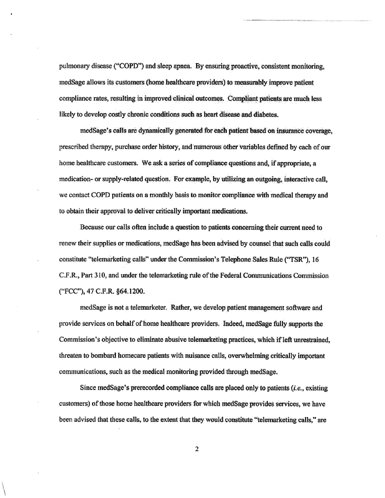pulmonary disease ("COPD") and sleep apnea. By ensuring proactive, consistent monitoring, medSage allows its customers (home healthcare providers) to measurably improve patient compliance rates, resulting in improved clinical outcomes. Compliant patients are much less likely to develop costly chronic conditions such as heart disease and diabetes.

medSage's calls are dynamically generated for each patient based on insurance coverage. prescribed therapy, purchase order history, and numerous other variables defined by each of our home healthcare customers. We ask a series of compliance questions and, if appropriate, a medication- or supply-related question. For example, by utilizing an outgoing, interactive call, we contact COPD patients on a monthly basis to monitor compliance with medical therapy and to obtain their approval to deliver critically important medications.

Because our calls often include a question to patients concerning their current need to renew their supplies or medications, medSage has been advised by counsel that such calls could constitute "telemarketing calls" under the Commission's Telephone Sales Rule ("TSR"), 16 C.F.R., Part 310, and under the telemarketing rule of the Federal Communications Commission ("FCC"), 47 C.F.R. §64.1200.

medSage is not a telemarketer. Rather, we develop patient management software and provide services on behalf of home healthcare providers. Indeed, medSage fully supports the Commission's objective to eliminate abusive telemarketing practices, which if left unrestrained. threaten to bombard homecare patients with nuisance calls, overwhelming critically important communications, such as the medical monitoring provided through medSage.

Since medSage's prerecorded compliance calls are placed only to patients *(i.e.*, existing customers) of those home healthcare providers for which medSage provides services, we have been advised that these calls, to the extent that they would constitute "telemarketing calls," are

 $\overline{z}$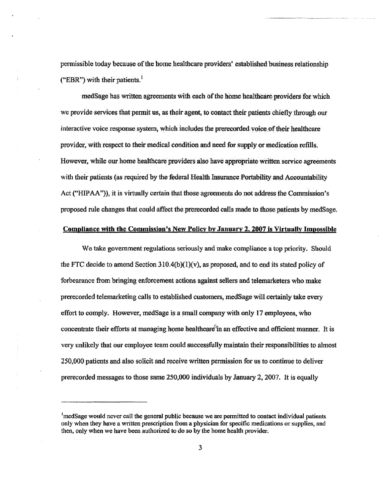permissible today because of the home healthcare providers' established business relationship ("EBR") with their patients.

medSage has written agreements with each of the home healthcare providers for which we provide services that permit us, as their agent, to contact their patients chiefly through our interactive voice response system, which includes the prerecorded voice of their healthcare provider, with respect to their medical condition and need for supply or medication refills. However, while our home healthcare providers also have appropriate written service agreements with their patients (as required by the federal Health Insurance Portability and Accountability Act ("HIPAA")), it is virtually certain that those agreements do not address the Commission's proposed rule changes that could affect the prerecorded calls made to those patients by medSage.

#### Compliance with the Commission's New Policy by January 2, 2007 is Virtually Impossible

We take government regulations seriously and make compliance a top priority. Should the FTC decide to amend Section 310.4(b)(1)(v), as proposed, and to end its stated policy of forbearance from bringing enforcement actions against sellers and telemarketers who make prerecorded telemarketing calls to established customers, medSage will certainly take every effort to comply. However, medSage is a small company with only 17 employees, who concentrate their efforts at managing home healthcare<sup>6</sup> in an effective and efficient manner. It is very unlikely that our employee team could successfully maintain their responsibilities to almost 250,000 patients and also solicit and receive written permission for us to continue to deliver prerecorded messages to those same 250,000 individuals by January 2, 2007. It is equally

<sup>&</sup>lt;sup>1</sup>medSage would never call the general public because we are permitted to contact individual patients only when they have a written prescription from a physician for specific medications or supplies, and then, only when we have been authorized to do so by the home health provider.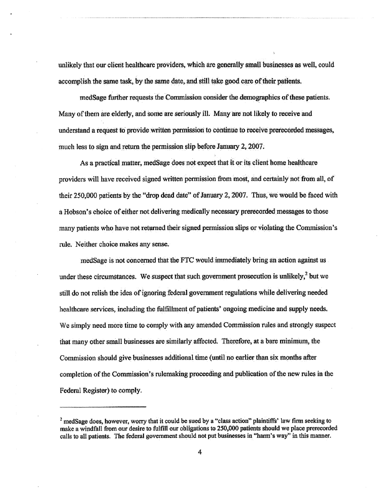unlikely that our client healthcare providers, which are generally small businesses as well, could accomplish the same task, by the same date, and still take good care of their patients.

medSage further requests the Commission consider the demographics of these patients. Many of them are elderly, and some are seriously ill. Many are not likely to receive and understand a request to provide written permission to continue to receive prerecorded messages, much less to sign and return the permission slip before January 2, 2007.

As a practical matter, medSage does not expect that it or its client home healthcare providers will have received signed written permission from most, and certainly not from all, of their 250,000 patients by the "drop dead date" of January 2, 2007. Thus, we would be faced with a Hobson's choice of either not delivering medically necessary prerecorded messages to those many patients who have not returned their signed permission slips or violating the Commission's rule. Neither choice makes any sense.

medSage is not concerned that the FTC would immediately bring an action against us under these circumstances. We suspect that such government prosecution is unlikely. $2$  but we still do not relish the idea of ignoring federal government regulations while delivering needed healthcare services, including the fulfillment of patients' ongoing medicine and supply needs. We simply need more time to comply with any amended Commission rules and strongly suspect that many other small businesses are similarly affected. Therefore, at a bare minimum, the Commission should give businesses additional time (until no earlier than six months after completion of the Commission's rulemaking proceeding and publication of the new rules in the Federal Register) to comply.

 $2$  medSage does, however, worry that it could be sued by a "class action" plaintiffs' law firm seeking to make a windfall from our desire to fulfill our obligations to 250,000 patients should we place prerecorded calls to all patients. The federal government should not put businesses in "harm's way" in this manner.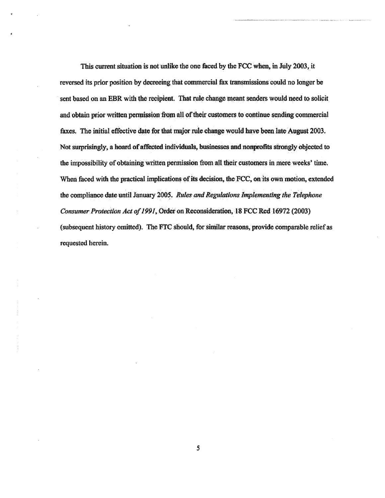This current situation is not unlike the one faced by the FCC when, in July 2003, it reversed its prior position by decreeing that commercial fax transmissions could no longer be sent based on an EBR with the recipient. That rule change meant senders would need to solicit and obtain prior written permission from all of their customers to continue sending commercial faxes. The initial effective date for that major rule change would have been late August 2003. Not surprisingly, a hoard of affected individuals, businesses and nonprofits strongly objected to the impossibility of obtaining written permission from all their customers in mere weeks' time. When faced with the practical implications of its decision, the FCC, on its own motion, extended the compliance date until January 2005. Rules and Regulations Implementing the Telephone Consumer Protection Act of 1991, Order on Reconsideration, 18 FCC Rcd 16972 (2003) (subsequent history omitted). The FTC should, for similar reasons, provide comparable relief as requested herein.